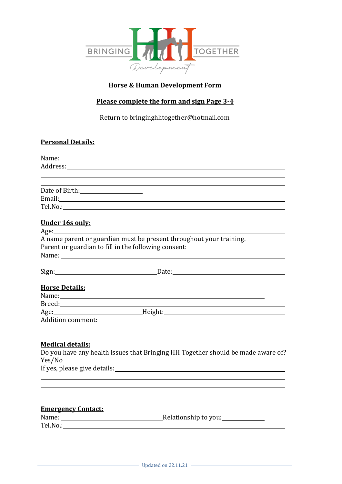

# **Horse & Human Development Form**

# **Please complete the form and sign Page 3-4**

Return to bringinghhtogether@hotmail.com

# **Personal Details:**

|                                                                                                                                                                                                                                | ,我们也不会有什么。""我们的人,我们也不会有什么?""我们的人,我们也不会有什么?""我们的人,我们也不会有什么?""我们的人,我们也不会有什么?""我们的人                                                                                                                                                                                                                                                   |  |
|--------------------------------------------------------------------------------------------------------------------------------------------------------------------------------------------------------------------------------|------------------------------------------------------------------------------------------------------------------------------------------------------------------------------------------------------------------------------------------------------------------------------------------------------------------------------------|--|
|                                                                                                                                                                                                                                |                                                                                                                                                                                                                                                                                                                                    |  |
| Date of Birth: 1990 March 2012                                                                                                                                                                                                 |                                                                                                                                                                                                                                                                                                                                    |  |
|                                                                                                                                                                                                                                |                                                                                                                                                                                                                                                                                                                                    |  |
|                                                                                                                                                                                                                                | Tel.No.: The contract of the contract of the contract of the contract of the contract of the contract of the contract of the contract of the contract of the contract of the contract of the contract of the contract of the c                                                                                                     |  |
| Under 16s only:                                                                                                                                                                                                                |                                                                                                                                                                                                                                                                                                                                    |  |
|                                                                                                                                                                                                                                |                                                                                                                                                                                                                                                                                                                                    |  |
|                                                                                                                                                                                                                                | A name parent or guardian must be present throughout your training.                                                                                                                                                                                                                                                                |  |
|                                                                                                                                                                                                                                | Parent or guardian to fill in the following consent:                                                                                                                                                                                                                                                                               |  |
| Name: Name and the state of the state of the state of the state of the state of the state of the state of the state of the state of the state of the state of the state of the state of the state of the state of the state of |                                                                                                                                                                                                                                                                                                                                    |  |
|                                                                                                                                                                                                                                |                                                                                                                                                                                                                                                                                                                                    |  |
|                                                                                                                                                                                                                                | Sign: Date: Date:                                                                                                                                                                                                                                                                                                                  |  |
| <b>Horse Details:</b>                                                                                                                                                                                                          |                                                                                                                                                                                                                                                                                                                                    |  |
|                                                                                                                                                                                                                                |                                                                                                                                                                                                                                                                                                                                    |  |
|                                                                                                                                                                                                                                |                                                                                                                                                                                                                                                                                                                                    |  |
|                                                                                                                                                                                                                                |                                                                                                                                                                                                                                                                                                                                    |  |
|                                                                                                                                                                                                                                |                                                                                                                                                                                                                                                                                                                                    |  |
|                                                                                                                                                                                                                                |                                                                                                                                                                                                                                                                                                                                    |  |
| <b>Medical details:</b>                                                                                                                                                                                                        |                                                                                                                                                                                                                                                                                                                                    |  |
|                                                                                                                                                                                                                                | Do you have any health issues that Bringing HH Together should be made aware of?                                                                                                                                                                                                                                                   |  |
| Yes/No                                                                                                                                                                                                                         |                                                                                                                                                                                                                                                                                                                                    |  |
|                                                                                                                                                                                                                                | $\mathbf{r}$ $\mathbf{r}$ $\mathbf{r}$ $\mathbf{r}$ $\mathbf{r}$ $\mathbf{r}$ $\mathbf{r}$ $\mathbf{r}$ $\mathbf{r}$ $\mathbf{r}$ $\mathbf{r}$ $\mathbf{r}$ $\mathbf{r}$ $\mathbf{r}$ $\mathbf{r}$ $\mathbf{r}$ $\mathbf{r}$ $\mathbf{r}$ $\mathbf{r}$ $\mathbf{r}$ $\mathbf{r}$ $\mathbf{r}$ $\mathbf{r}$ $\mathbf{r}$ $\mathbf{$ |  |

If yes, please give details:

# **Emergency Contact:**

| Name:    | Relationship to you: |
|----------|----------------------|
| Tel.No.: |                      |
|          |                      |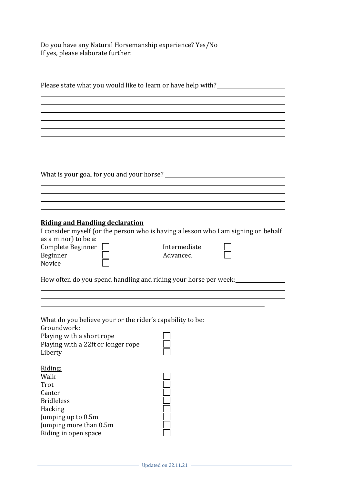Do you have any Natural Horsemanship experience? Yes/No If yes, please elaborate further:

| Please state what you would like to learn or have help with?        |                                                                                    |  |  |  |
|---------------------------------------------------------------------|------------------------------------------------------------------------------------|--|--|--|
|                                                                     |                                                                                    |  |  |  |
|                                                                     |                                                                                    |  |  |  |
|                                                                     |                                                                                    |  |  |  |
|                                                                     |                                                                                    |  |  |  |
|                                                                     |                                                                                    |  |  |  |
|                                                                     |                                                                                    |  |  |  |
|                                                                     |                                                                                    |  |  |  |
|                                                                     |                                                                                    |  |  |  |
|                                                                     |                                                                                    |  |  |  |
|                                                                     |                                                                                    |  |  |  |
|                                                                     |                                                                                    |  |  |  |
|                                                                     |                                                                                    |  |  |  |
|                                                                     |                                                                                    |  |  |  |
|                                                                     |                                                                                    |  |  |  |
| <b>Riding and Handling declaration</b>                              |                                                                                    |  |  |  |
|                                                                     | I consider myself (or the person who is having a lesson who I am signing on behalf |  |  |  |
| as a minor) to be a:                                                |                                                                                    |  |  |  |
| Complete Beginner                                                   | Intermediate                                                                       |  |  |  |
| Beginner                                                            | Advanced                                                                           |  |  |  |
| Novice                                                              |                                                                                    |  |  |  |
| How often do you spend handling and riding your horse per week:<br> |                                                                                    |  |  |  |
|                                                                     |                                                                                    |  |  |  |
|                                                                     |                                                                                    |  |  |  |
|                                                                     |                                                                                    |  |  |  |
|                                                                     |                                                                                    |  |  |  |
| What do you believe your or the rider's capability to be:           |                                                                                    |  |  |  |
| Groundwork:<br>Playing with a short rope                            |                                                                                    |  |  |  |
| Playing with a 22ft or longer rope                                  |                                                                                    |  |  |  |
| Liberty                                                             |                                                                                    |  |  |  |
|                                                                     |                                                                                    |  |  |  |
| Riding:                                                             |                                                                                    |  |  |  |
| Walk                                                                |                                                                                    |  |  |  |
| Trot                                                                |                                                                                    |  |  |  |
| Canter                                                              |                                                                                    |  |  |  |
| <b>Bridleless</b>                                                   |                                                                                    |  |  |  |
| Hacking                                                             |                                                                                    |  |  |  |
| Jumping up to 0.5m                                                  |                                                                                    |  |  |  |
| Jumping more than 0.5m                                              |                                                                                    |  |  |  |
| Riding in open space                                                |                                                                                    |  |  |  |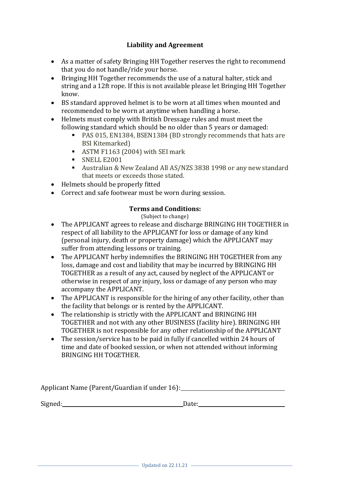# **Liability and Agreement**

- As a matter of safety Bringing HH Together reserves the right to recommend that you do not handle/ride your horse.
- Bringing HH Together recommends the use of a natural halter, stick and string and a 12ft rope. If this is not available please let Bringing HH Together know.
- BS standard approved helmet is to be worn at all times when mounted and recommended to be worn at anytime when handling a horse.
- Helmets must comply with British Dressage rules and must meet the following standard which should be no older than 5 years or damaged:
	- PAS 015, EN1384, BSEN1384 (BD strongly recommends that hats are BSI Kitemarked)
	- ASTM F1163 (2004) with SEI mark
	- SNELL E2001
	- Australian & New Zealand All AS/NZS 3838 1998 or any new standard that meets or exceeds those stated.
- Helmets should be properly fitted
- Correct and safe footwear must be worn during session.

#### **Terms and Conditions:**

(Subject to change)

- The APPLICANT agrees to release and discharge BRINGING HH TOGETHER in respect of all liability to the APPLICANT for loss or damage of any kind (personal injury, death or property damage) which the APPLICANT may suffer from attending lessons or training.
- The APPLICANT herby indemnifies the BRINGING HH TOGETHER from any loss, damage and cost and liability that may be incurred by BRINGING HH TOGETHER as a result of any act, caused by neglect of the APPLICANT or otherwise in respect of any injury, loss or damage of any person who may accompany the APPLICANT.
- The APPLICANT is responsible for the hiring of any other facility, other than the facility that belongs or is rented by the APPLICANT.
- The relationship is strictly with the APPLICANT and BRINGING HH TOGETHER and not with any other BUSINESS (facility hire). BRINGING HH TOGETHER is not responsible for any other relationship of the APPLICANT
- The session/service has to be paid in fully if cancelled within 24 hours of time and date of booked session, or when not attended without informing BRINGING HH TOGETHER.

| Applicant Name (Parent/Guardian if under 16): |  |
|-----------------------------------------------|--|
|                                               |  |

Signed: Date: